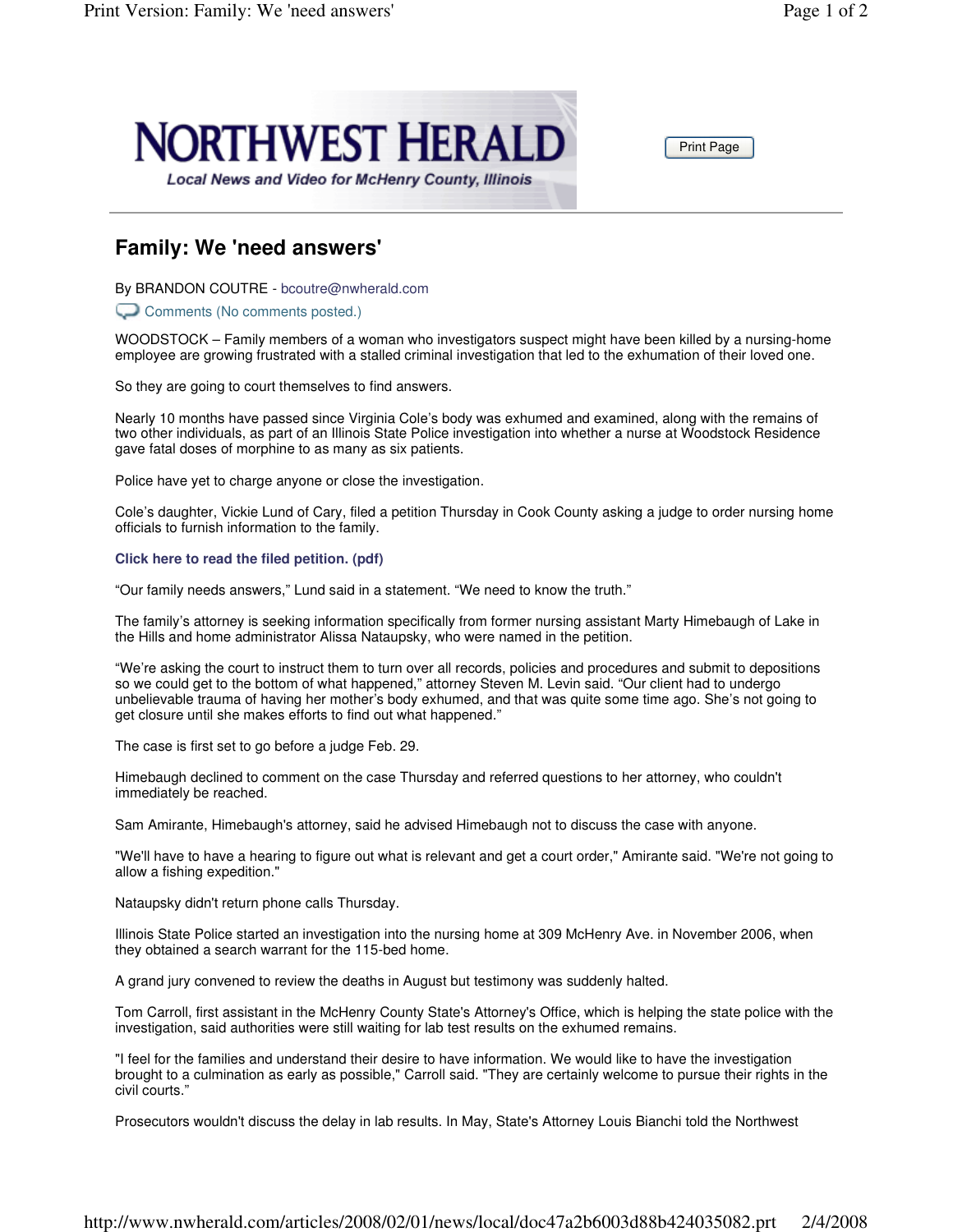

Print Page

## **Family: We 'need answers'**

By BRANDON COUTRE - bcoutre@nwherald.com

Comments (No comments posted.)

WOODSTOCK – Family members of a woman who investigators suspect might have been killed by a nursing-home employee are growing frustrated with a stalled criminal investigation that led to the exhumation of their loved one.

So they are going to court themselves to find answers.

Nearly 10 months have passed since Virginia Cole's body was exhumed and examined, along with the remains of two other individuals, as part of an Illinois State Police investigation into whether a nurse at Woodstock Residence gave fatal doses of morphine to as many as six patients.

Police have yet to charge anyone or close the investigation.

Cole's daughter, Vickie Lund of Cary, filed a petition Thursday in Cook County asking a judge to order nursing home officials to furnish information to the family.

## **Click here to read the filed petition. (pdf)**

"Our family needs answers," Lund said in a statement. "We need to know the truth."

The family's attorney is seeking information specifically from former nursing assistant Marty Himebaugh of Lake in the Hills and home administrator Alissa Nataupsky, who were named in the petition.

"We're asking the court to instruct them to turn over all records, policies and procedures and submit to depositions so we could get to the bottom of what happened," attorney Steven M. Levin said. "Our client had to undergo unbelievable trauma of having her mother's body exhumed, and that was quite some time ago. She's not going to get closure until she makes efforts to find out what happened."

The case is first set to go before a judge Feb. 29.

Himebaugh declined to comment on the case Thursday and referred questions to her attorney, who couldn't immediately be reached.

Sam Amirante, Himebaugh's attorney, said he advised Himebaugh not to discuss the case with anyone.

"We'll have to have a hearing to figure out what is relevant and get a court order," Amirante said. "We're not going to allow a fishing expedition."

Nataupsky didn't return phone calls Thursday.

Illinois State Police started an investigation into the nursing home at 309 McHenry Ave. in November 2006, when they obtained a search warrant for the 115-bed home.

A grand jury convened to review the deaths in August but testimony was suddenly halted.

Tom Carroll, first assistant in the McHenry County State's Attorney's Office, which is helping the state police with the investigation, said authorities were still waiting for lab test results on the exhumed remains.

"I feel for the families and understand their desire to have information. We would like to have the investigation brought to a culmination as early as possible," Carroll said. "They are certainly welcome to pursue their rights in the civil courts."

Prosecutors wouldn't discuss the delay in lab results. In May, State's Attorney Louis Bianchi told the Northwest